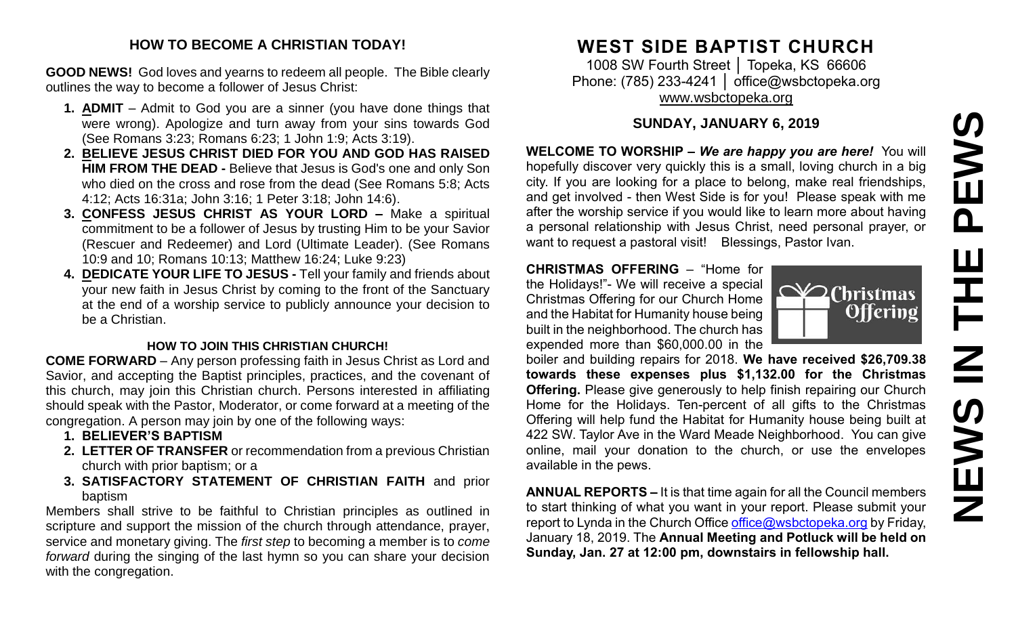# PEWS **NEWS IN THE PEWSHH N SVEMS**

#### **HOW TO BECOME A CHRISTIAN TODAY!**

**GOOD NEWS!** God loves and yearns to redeem all people. The Bible clearly outlines the way to become a follower of Jesus Christ:

- **1. ADMIT** Admit to God you are a sinner (you have done things that were wrong). Apologize and turn away from your sins towards God (See Romans 3:23; Romans 6:23; 1 John 1:9; Acts 3:19).
- **2. BELIEVE JESUS CHRIST DIED FOR YOU AND GOD HAS RAISED HIM FROM THE DEAD -** Believe that Jesus is God's one and only Son who died on the cross and rose from the dead (See Romans 5:8; Acts 4:12; Acts 16:31a; John 3:16; 1 Peter 3:18; John 14:6).
- **3. CONFESS JESUS CHRIST AS YOUR LORD –** Make a spiritual commitment to be a follower of Jesus by trusting Him to be your Savior (Rescuer and Redeemer) and Lord (Ultimate Leader). (See Romans 10:9 and 10; Romans 10:13; Matthew 16:24; Luke 9:23)
- **4. DEDICATE YOUR LIFE TO JESUS -** Tell your family and friends about your new faith in Jesus Christ by coming to the front of the Sanctuary at the end of a worship service to publicly announce your decision to be a Christian.

#### **HOW TO JOIN THIS CHRISTIAN CHURCH!**

**COME FORWARD** – Any person professing faith in Jesus Christ as Lord and Savior, and accepting the Baptist principles, practices, and the covenant of this church, may join this Christian church. Persons interested in affiliating should speak with the Pastor, Moderator, or come forward at a meeting of the congregation. A person may join by one of the following ways:

- **1. BELIEVER'S BAPTISM**
- **2. LETTER OF TRANSFER** or recommendation from a previous Christian church with prior baptism; or a
- **3. SATISFACTORY STATEMENT OF CHRISTIAN FAITH** and prior baptism

Members shall strive to be faithful to Christian principles as outlined in scripture and support the mission of the church through attendance, prayer, service and monetary giving. The *first step* to becoming a member is to *come forward* during the singing of the last hymn so you can share your decision with the congregation.

# **WEST SIDE BAPTIST CHURCH**

1008 SW Fourth Street | Topeka, KS 66606 Phone: (785) 233-4241 | [office@wsbctopeka.org](mailto:office@wsbctopeka.org) [www.wsbctopeka.org](http://www.wsbctopeka.org/)

### **SUNDAY, JANUARY 6, 2019**

**WELCOME TO WORSHIP –** *We are happy you are here!* You will hopefully discover very quickly this is a small, loving church in a big city. If you are looking for a place to belong, make real friendships, and get involved - then West Side is for you! Please speak with me after the worship service if you would like to learn more about having a personal relationship with Jesus Christ, need personal prayer, or want to request a pastoral visit! Blessings, Pastor Ivan.

#### **CHRISTMAS OFFERING** – "Home for the Holidays!"- We will receive a special Christmas Offering for our Church Home and the Habitat for Humanity house being built in the neighborhood. The church has expended more than \$60,000.00 in the

boiler and building repairs for 2018. **We have received \$26,709.38 towards these expenses plus \$1,132.00 for the Christmas Offering.** Please give generously to help finish repairing our Church Home for the Holidays. Ten-percent of all gifts to the Christmas Offering will help fund the Habitat for Humanity house being built at 422 SW. Taylor Ave in the Ward Meade Neighborhood. You can give online, mail your donation to the church, or use the envelopes available in the pews.

**ANNUAL REPORTS –** It is that time again for all the Council members to start thinking of what you want in your report. Please submit your report to Lynda in the Church Office [office@wsbctopeka.org](mailto:office@wsbctopeka.org) by Friday, January 18, 2019. The **Annual Meeting and Potluck will be held on Sunday, Jan. 27 at 12:00 pm, downstairs in fellowship hall.** 

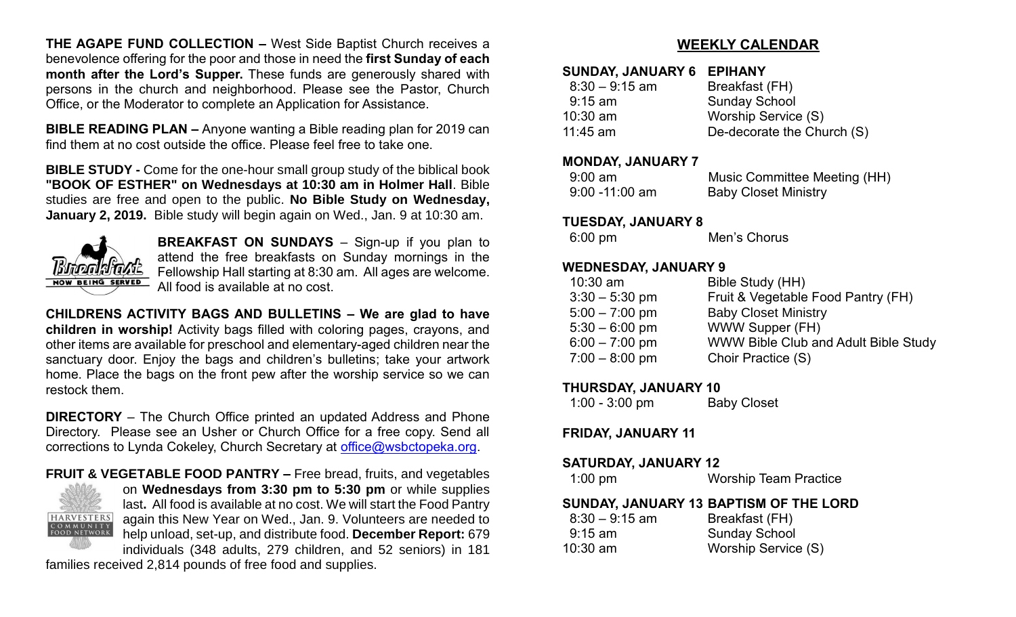**THE AGAPE FUND COLLECTION –** West Side Baptist Church receives a benevolence offering for the poor and those in need the **first Sunday of each month after the Lord's Supper.** These funds are generously shared with persons in the church and neighborhood. Please see the Pastor, Church Office, or the Moderator to complete an Application for Assistance.

**BIBLE READING PLAN –** Anyone wanting a Bible reading plan for 2019 can find them at no cost outside the office. Please feel free to take one.

**BIBLE STUDY -** Come for the one-hour small group study of the biblical book **"BOOK OF ESTHER" on Wednesdays at 10:30 am in Holmer Hall**. Bible studies are free and open to the public. **No Bible Study on Wednesday, January 2, 2019.** Bible study will begin again on Wed., Jan. 9 at 10:30 am.



**BREAKFAST ON SUNDAYS** – Sign-up if you plan to attend the free breakfasts on Sunday mornings in the Fellowship Hall starting at 8:30 am. All ages are welcome. All food is available at no cost.

**CHILDRENS ACTIVITY BAGS AND BULLETINS – We are glad to have children in worship!** Activity bags filled with coloring pages, crayons, and other items are available for preschool and elementary-aged children near the sanctuary door. Enjoy the bags and children's bulletins; take your artwork home. Place the bags on the front pew after the worship service so we can restock them.

**DIRECTORY** – The Church Office printed an updated Address and Phone Directory. Please see an Usher or Church Office for a free copy. Send all corrections to Lynda Cokeley, Church Secretary at [office@wsbctopeka.org.](mailto:office@wsbctopeka.org)

**FRUIT & VEGETABLE FOOD PANTRY –** Free bread, fruits, and vegetables



on **Wednesdays from 3:30 pm to 5:30 pm** or while supplies last**.** All food is available at no cost. We will start the Food Pantry again this New Year on Wed., Jan. 9. Volunteers are needed to help unload, set-up, and distribute food. **December Report:** 679 individuals (348 adults, 279 children, and 52 seniors) in 181

families received 2,814 pounds of free food and supplies.

#### **WEEKLY CALENDAR**

#### **SUNDAY, JANUARY 6 EPIHANY**

| $8:30 - 9:15$ am | Breakfast (FH)             |
|------------------|----------------------------|
| $9:15$ am        | <b>Sunday School</b>       |
| $10:30$ am       | Worship Service (S)        |
| 11:45 am         | De-decorate the Church (S) |
|                  |                            |

#### **MONDAY, JANUARY 7**

| $9:00$ am         | Music Committee Meeting (HH) |
|-------------------|------------------------------|
| $9:00 - 11:00$ am | <b>Baby Closet Ministry</b>  |

#### **TUESDAY, JANUARY 8**

| $6:00 \text{ pm}$ | Men's Chorus |
|-------------------|--------------|
|                   |              |

#### **WEDNESDAY, JANUARY 9**

| $10:30$ am       | Bible Study (HH)                     |
|------------------|--------------------------------------|
| $3:30 - 5:30$ pm | Fruit & Vegetable Food Pantry (FH)   |
| $5:00 - 7:00$ pm | <b>Baby Closet Ministry</b>          |
| $5:30 - 6:00$ pm | WWW Supper (FH)                      |
| $6:00 - 7:00$ pm | WWW Bible Club and Adult Bible Study |
| $7:00 - 8:00$ pm | Choir Practice (S)                   |
|                  |                                      |

#### **THURSDAY, JANUARY 10**

| $1:00 - 3:00$ pm | <b>Baby Closet</b> |
|------------------|--------------------|
|------------------|--------------------|

#### **FRIDAY, JANUARY 11**

| $1:00$ pm | <b>Worship Team Practice</b> |
|-----------|------------------------------|
|           |                              |

#### **SUNDAY, JANUARY 13 BAPTISM OF THE LORD**

| $8:30 - 9:15$ am | Breakfast (FH)       |
|------------------|----------------------|
| $9:15$ am        | <b>Sunday School</b> |
| $10:30$ am       | Worship Service (S)  |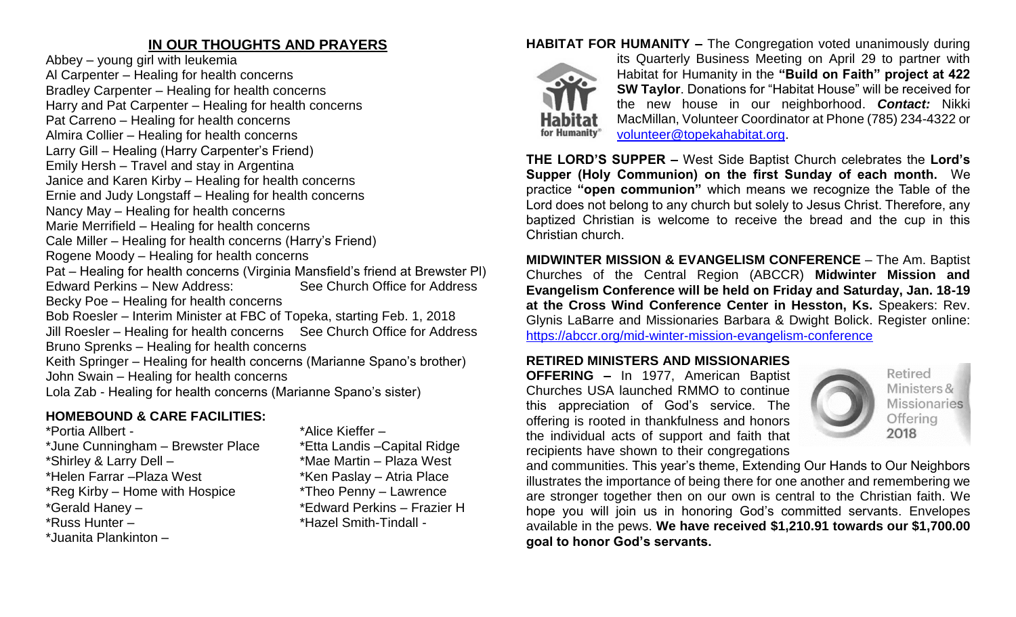## **IN OUR THOUGHTS AND PRAYERS**

Abbey – young girl with leukemia Al Carpenter – Healing for health concerns Bradley Carpenter – Healing for health concerns Harry and Pat Carpenter – Healing for health concerns Pat Carreno – Healing for health concerns Almira Collier – Healing for health concerns Larry Gill – Healing (Harry Carpenter's Friend) Emily Hersh – Travel and stay in Argentina Janice and Karen Kirby – Healing for health concerns Ernie and Judy Longstaff – Healing for health concerns Nancy May – Healing for health concerns Marie Merrifield – Healing for health concerns Cale Miller – Healing for health concerns (Harry's Friend) Rogene Moody – Healing for health concerns Pat – Healing for health concerns (Virginia Mansfield's friend at Brewster Pl) Edward Perkins – New Address: See Church Office for Address Becky Poe – Healing for health concerns Bob Roesler – Interim Minister at FBC of Topeka, starting Feb. 1, 2018 Jill Roesler – Healing for health concerns See Church Office for Address Bruno Sprenks – Healing for health concerns Keith Springer – Healing for health concerns (Marianne Spano's brother) John Swain – Healing for health concerns Lola Zab - Healing for health concerns (Marianne Spano's sister)

# **HOMEBOUND & CARE FACILITIES:**

\*Portia Allbert - \*Alice Kieffer – \*June Cunningham – Brewster Place \*Etta Landis –Capital Ridge \*Shirley & Larry Dell – \*Mae Martin – Plaza West \*Helen Farrar – Plaza West \*Ken Paslay – Atria Place \*Reg Kirby – Home with Hospice \*Theo Penny – Lawrence<br>\*Gerald Haney – \* \*Edward Perkins – Frazie \*Russ Hunter – \* \*Hazel Smith-Tindall -\*Juanita Plankinton –

\*Edward Perkins – Frazier H

# **HABITAT FOR HUMANITY –** The Congregation voted unanimously during



its Quarterly Business Meeting on April 29 to partner with Habitat for Humanity in the **"Build on Faith" project at 422 SW Taylor**. Donations for "Habitat House" will be received for the new house in our neighborhood. *Contact:* Nikki MacMillan, Volunteer Coordinator at Phone (785) 234-4322 or [volunteer@topekahabitat.org.](mailto:volunteer@topekahabitat.org)

**THE LORD'S SUPPER –** West Side Baptist Church celebrates the **Lord's Supper (Holy Communion) on the first Sunday of each month.** We practice **"open communion"** which means we recognize the Table of the Lord does not belong to any church but solely to Jesus Christ. Therefore, any baptized Christian is welcome to receive the bread and the cup in this Christian church.

**MIDWINTER MISSION & EVANGELISM CONFERENCE** – The Am. Baptist Churches of the Central Region (ABCCR) **Midwinter Mission and Evangelism Conference will be held on Friday and Saturday, Jan. 18-19 at the Cross Wind Conference Center in Hesston, Ks.** Speakers: Rev. Glynis LaBarre and Missionaries Barbara & Dwight Bolick. Register online: <https://abccr.org/mid-winter-mission-evangelism-conference>

#### **RETIRED MINISTERS AND MISSIONARIES**

**OFFERING –** In 1977, American Baptist Churches USA launched RMMO to continue this appreciation of God's service. The offering is rooted in thankfulness and honors the individual acts of support and faith that recipients have shown to their congregations



Retired Ministers & **Missionaries** Offering 2018

and communities. This year's theme, Extending Our Hands to Our Neighbors illustrates the importance of being there for one another and remembering we are stronger together then on our own is central to the Christian faith. We hope you will join us in honoring God's committed servants. Envelopes available in the pews. **We have received \$1,210.91 towards our \$1,700.00 goal to honor God's servants.**